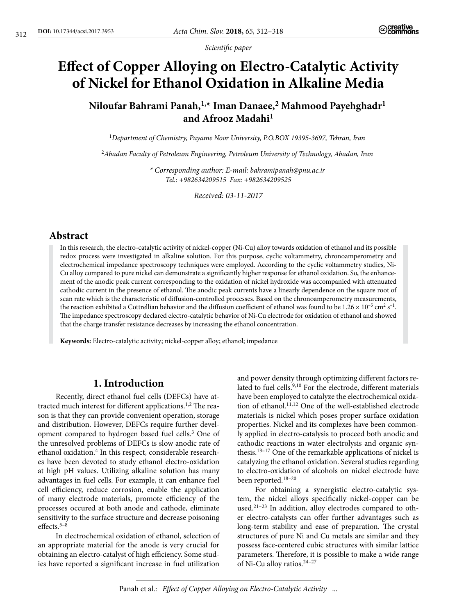*Scientific paper*

# **Effect of Copper Alloying on Electro-Catalytic Activity of Nickel for Ethanol Oxidation in Alkaline Media**

## **Niloufar Bahrami Panah,1,\* Iman Danaee,2 Mahmood Payehghadr1 and Afrooz Madahi1**

<sup>1</sup>*Department of Chemistry, Payame Noor University, P.O.BOX 19395-3697, Tehran, Iran*

<sup>2</sup>*Abadan Faculty of Petroleum Engineering, Petroleum University of Technology, Abadan, Iran*

*\* Corresponding author: E-mail: bahramipanah@pnu.ac.ir Tel.: +982634209515 Fax: +982634209525*

*Received: 03-11-2017*

## **Abstract**

In this research, the electro-catalytic activity of nickel-copper (Ni-Cu) alloy towards oxidation of ethanol and its possible redox process were investigated in alkaline solution. For this purpose, cyclic voltammetry, chronoamperometry and electrochemical impedance spectroscopy techniques were employed. According to the cyclic voltammetry studies, Ni-Cu alloy compared to pure nickel can demonstrate a significantly higher response for ethanol oxidation. So, the enhancement of the anodic peak current corresponding to the oxidation of nickel hydroxide was accompanied with attenuated cathodic current in the presence of ethanol. The anodic peak currents have a linearly dependence on the square root of scan rate which is the characteristic of diffusion-controlled processes. Based on the chronoamperometry measurements, the reaction exhibited a Cottrellian behavior and the diffusion coefficient of ethanol was found to be  $1.26 \times 10^{-5}$  cm<sup>2</sup> s<sup>-1</sup>. The impedance spectroscopy declared electro-catalytic behavior of Ni-Cu electrode for oxidation of ethanol and showed that the charge transfer resistance decreases by increasing the ethanol concentration.

**Keywords:** Electro-catalytic activity; nickel-copper alloy; ethanol; impedance

## **1. Introduction**

Recently, direct ethanol fuel cells (DEFCs) have attracted much interest for different applications.<sup>1,2</sup> The reason is that they can provide convenient operation, storage and distribution. However, DEFCs require further development compared to hydrogen based fuel cells.<sup>3</sup> One of the unresolved problems of DEFCs is slow anodic rate of ethanol oxidation.<sup>4</sup> In this respect, considerable researches have been devoted to study ethanol electro-oxidation at high pH values. Utilizing alkaline solution has many advantages in fuel cells. For example, it can enhance fuel cell efficiency, reduce corrosion, enable the application of many electrode materials, promote efficiency of the processes occured at both anode and cathode, eliminate sensitivity to the surface structure and decrease poisoning effects.5–8

In electrochemical oxidation of ethanol, selection of an appropriate material for the anode is very crucial for obtaining an electro-catalyst of high efficiency. Some studies have reported a significant increase in fuel utilization

and power density through optimizing different factors related to fuel cells.<sup>9,10</sup> For the electrode, different materials have been employed to catalyze the electrochemical oxidation of ethanol.<sup>11,12</sup> One of the well-established electrode materials is nickel which poses proper surface oxidation properties. Nickel and its complexes have been commonly applied in electro-catalysis to proceed both anodic and cathodic reactions in water electrolysis and organic synthesis.13–17 One of the remarkable applications of nickel is catalyzing the ethanol oxidation. Several studies regarding to electro-oxidation of alcohols on nickel electrode have been reported.18–20

For obtaining a synergistic electro-catalytic system, the nickel alloys specifically nickel-copper can be used.21–23 In addition, alloy electrodes compared to other electro-catalysts can offer further advantages such as long-term stability and ease of preparation. The crystal structures of pure Ni and Cu metals are similar and they possess face-centered cubic structures with similar lattice parameters. Therefore, it is possible to make a wide range of Ni-Cu alloy ratios.24–27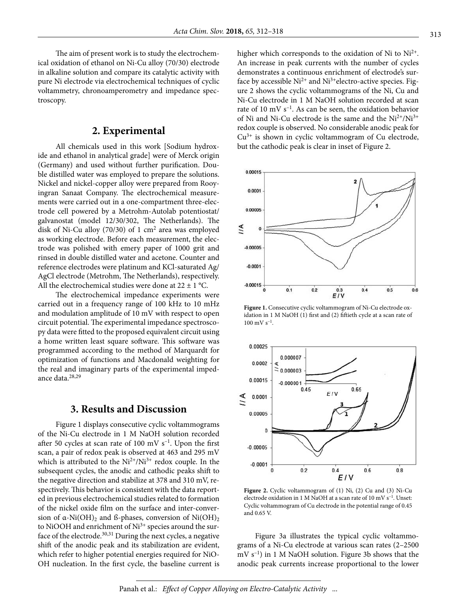The aim of present work is to study the electrochemical oxidation of ethanol on Ni-Cu alloy (70/30) electrode in alkaline solution and compare its catalytic activity with pure Ni electrode via electrochemical techniques of cyclic voltammetry, chronoamperometry and impedance spectroscopy.

#### **2. Experimental**

All chemicals used in this work [Sodium hydroxide and ethanol in analytical grade] were of Merck origin (Germany) and used without further purification. Double distilled water was employed to prepare the solutions. Nickel and nickel-copper alloy were prepared from Rooyingran Sanaat Company. The electrochemical measurements were carried out in a one-compartment three-electrode cell powered by a Metrohm-Autolab potentiostat/ galvanostat (model 12/30/302, The Netherlands). The disk of Ni-Cu alloy (70/30) of 1  $\text{cm}^2$  area was employed as working electrode. Before each measurement, the electrode was polished with emery paper of 1000 grit and rinsed in double distilled water and acetone. Counter and reference electrodes were platinum and KCl-saturated Ag/ AgCl electrode (Metrohm, The Netherlands), respectively. All the electrochemical studies were done at  $22 \pm 1$  °C.

The electrochemical impedance experiments were carried out in a frequency range of 100 kHz to 10 mHz and modulation amplitude of 10 mV with respect to open circuit potential. The experimental impedance spectroscopy data were fitted to the proposed equivalent circuit using a home written least square software. This software was programmed according to the method of Marquardt for optimization of functions and Macdonald weighting for the real and imaginary parts of the experimental impedance data.28,29

#### **3. Results and Discussion**

Figure 1 displays consecutive cyclic voltammograms of the Ni-Cu electrode in 1 M NaOH solution recorded after 50 cycles at scan rate of 100 mV  $s^{-1}$ . Upon the first scan, a pair of redox peak is observed at 463 and 295 mV which is attributed to the  $Ni^{2+}/Ni^{3+}$  redox couple. In the subsequent cycles, the anodic and cathodic peaks shift to the negative direction and stabilize at 378 and 310 mV, respectively. This behavior is consistent with the data reported in previous electrochemical studies related to formation of the nickel oxide film on the surface and inter-conversion of  $\alpha$ -Ni(OH)<sub>2</sub> and ß-phases, conversion of Ni(OH)<sub>2</sub> to NiOOH and enrichment of  $Ni<sup>3+</sup>$  species around the surface of the electrode. $30,31$  During the next cycles, a negative shift of the anodic peak and its stabilization are evident, which refer to higher potential energies required for NiO-OH nucleation. In the first cycle, the baseline current is higher which corresponds to the oxidation of Ni to  $Ni<sup>2+</sup>$ . An increase in peak currents with the number of cycles demonstrates a continuous enrichment of electrode's surface by accessible  $Ni^{2+}$  and  $Ni^{3+}$ electro-active species. Figure 2 shows the cyclic voltammograms of the Ni, Cu and Ni-Cu electrode in 1 M NaOH solution recorded at scan rate of 10 mV  $s^{-1}$ . As can be seen, the oxidation behavior of Ni and Ni-Cu electrode is the same and the  $Ni^{2+}/Ni^{3+}$ redox couple is observed. No considerable anodic peak for  $Cu^{3+}$  is shown in cyclic voltammogram of Cu electrode, but the cathodic peak is clear in inset of Figure 2.



**Figure 1.** Consecutive cyclic voltammogram of Ni-Cu electrode oxidation in 1 M NaOH (1) first and (2) fiftieth cycle at a scan rate of  $100 \text{ mV s}^{-1}$ 



Figure 2. Cyclic voltammogram of (1) Ni, (2) Cu and (3) Ni-Cu electrode oxidation in 1 M NaOH at a scan rate of 10 mV s–1. Unset: Cyclic voltammogram of Cu electrode in the potential range of 0.45 and 0.65 V.

Figure 3a illustrates the typical cyclic voltammograms of a Ni-Cu electrode at various scan rates (2–2500 mV s–1) in 1 M NaOH solution. Figure 3b shows that the anodic peak currents increase proportional to the lower

Panah et al.: *Effect of Copper Alloying on Electro-Catalytic Activity* ...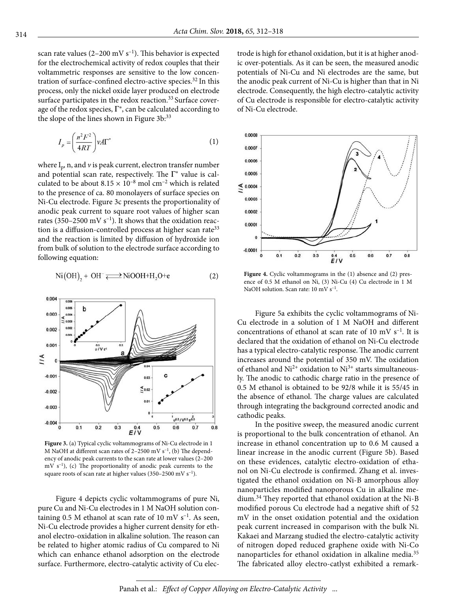scan rate values (2-200 mV  $s^{-1}$ ). This behavior is expected for the electrochemical activity of redox couples that their voltammetric responses are sensitive to the low concentration of surface-confined electro-active species.<sup>32</sup> In this process, only the nickel oxide layer produced on electrode surface participates in the redox reaction.<sup>33</sup> Surface coverage of the redox species,  $\Gamma^*$ , can be calculated according to the slope of the lines shown in Figure 3b:<sup>33</sup>

$$
I_p = \left(\frac{n^2 F^2}{4RT}\right) \nu A \Gamma^* \tag{1}
$$

where  $I_p$ , n, and  $\nu$  is peak current, electron transfer number and potential scan rate, respectively. The  $\Gamma^*$  value is calculated to be about  $8.15 \times 10^{-8}$  mol cm<sup>-2</sup> which is related to the presence of ca. 80 monolayers of surface species on Ni-Cu electrode. Figure 3c presents the proportionality of anodic peak current to square root values of higher scan rates (350–2500 mV  $s^{-1}$ ). It shows that the oxidation reaction is a diffusion-controlled process at higher scan rate<sup>33</sup> and the reaction is limited by diffusion of hydroxide ion from bulk of solution to the electrode surface according to following equation:

$$
\text{Ni(OH)}_{2} + \text{OH}^{-} \rightleftharpoons \text{NiOOH}^{+} \text{H}_{2}\text{O}^{+} \text{e}
$$
 (2)



**Figure 3.** (a) Typical cyclic voltammograms of Ni-Cu electrode in 1 M NaOH at different scan rates of  $2-2500$  mV s<sup>-1</sup>, (b) The dependency of anodic peak currents to the scan rate at lower values (2–200  $mV s^{-1}$ ), (c) The proportionality of anodic peak currents to the square roots of scan rate at higher values (350–2500 mV  $s^{-1}$ ).

Figure 4 depicts cyclic voltammograms of pure Ni, pure Cu and Ni-Cu electrodes in 1 M NaOH solution containing 0.5 M ethanol at scan rate of 10 mV  $s^{-1}$ . As seen, Ni-Cu electrode provides a higher current density for ethanol electro-oxidation in alkaline solution. The reason can be related to higher atomic radius of Cu compared to Ni which can enhance ethanol adsorption on the electrode surface. Furthermore, electro-catalytic activity of Cu electrode is high for ethanol oxidation, but it is at higher anodic over-potentials. As it can be seen, the measured anodic potentials of Ni-Cu and Ni electrodes are the same, but the anodic peak current of Ni-Cu is higher than that in Ni electrode. Consequently, the high electro-catalytic activity of Cu electrode is responsible for electro-catalytic activity of Ni-Cu electrode.



**Figure 4.** Cyclic voltammograms in the (1) absence and (2) presence of 0.5 M ethanol on Ni, (3) Ni-Cu (4) Cu electrode in 1 M NaOH solution. Scan rate:  $10 \text{ mV s}^{-1}$ .

Figure 5a exhibits the cyclic voltammograms of Ni-Cu electrode in a solution of 1 M NaOH and different concentrations of ethanol at scan rate of 10 mV  $s^{-1}$ . It is declared that the oxidation of ethanol on Ni-Cu electrode has a typical electro-catalytic response. The anodic current increases around the potential of 350 mV. The oxidation of ethanol and  $Ni^{2+}$  oxidation to  $Ni^{3+}$  starts simultaneously. The anodic to cathodic charge ratio in the presence of 0.5 M ethanol is obtained to be 92/8 while it is 55/45 in the absence of ethanol. The charge values are calculated through integrating the background corrected anodic and cathodic peaks.

In the positive sweep, the measured anodic current is proportional to the bulk concentration of ethanol. An increase in ethanol concentration up to 0.6 M caused a linear increase in the anodic current (Figure 5b). Based on these evidences, catalytic electro-oxidation of ethanol on Ni-Cu electrode is confirmed. Zhang et al. investigated the ethanol oxidation on Ni-B amorphous alloy nanoparticles modified nanoporous Cu in alkaline medium.34 They reported that ethanol oxidation at the Ni-B modified porous Cu electrode had a negative shift of 52 mV in the onset oxidation potential and the oxidation peak current increased in comparison with the bulk Ni. Kakaei and Marzang studied the electro-catalytic activity of nitrogen doped reduced graphene oxide with Ni-Co nanoparticles for ethanol oxidation in alkaline media.<sup>35</sup> The fabricated alloy electro-catlyst exhibited a remark-

Panah et al.: *Effect of Copper Alloying on Electro-Catalytic Activity* ...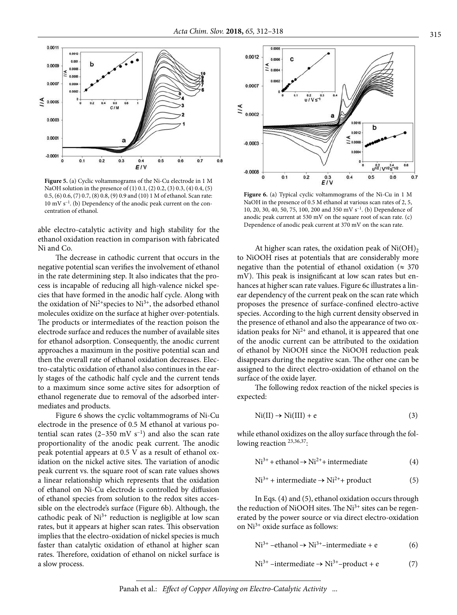

**Figure 5.** (a) Cyclic voltammograms of the Ni-Cu electrode in 1 M NaOH solution in the presence of (1) 0.1, (2) 0.2, (3) 0.3, (4) 0.4, (5) 0.5, (6) 0.6, (7) 0.7, (8) 0.8, (9) 0.9 and (10) 1 M of ethanol. Scan rate:  $10 \text{ mV s}^{-1}$ . (b) Dependency of the anodic peak current on the concentration of ethanol.

able electro-catalytic activity and high stability for the ethanol oxidation reaction in comparison with fabricated Ni and Co.

The decrease in cathodic current that occurs in the negative potential scan verifies the involvement of ethanol in the rate determining step. It also indicates that the process is incapable of reducing all high-valence nickel species that have formed in the anodic half cycle. Along with the oxidation of  $Ni^{2+}$ species to  $Ni^{3+}$ , the adsorbed ethanol molecules oxidize on the surface at higher over-potentials. The products or intermediates of the reaction poison the electrode surface and reduces the number of available sites for ethanol adsorption. Consequently, the anodic current approaches a maximum in the positive potential scan and then the overall rate of ethanol oxidation decreases. Electro-catalytic oxidation of ethanol also continues in the early stages of the cathodic half cycle and the current tends to a maximum since some active sites for adsorption of ethanol regenerate due to removal of the adsorbed intermediates and products.

Figure 6 shows the cyclic voltammograms of Ni-Cu electrode in the presence of 0.5 M ethanol at various potential scan rates  $(2-350 \text{ mV s}^{-1})$  and also the scan rate proportionality of the anodic peak current. The anodic peak potential appears at 0.5 V as a result of ethanol oxidation on the nickel active sites. The variation of anodic peak current vs. the square root of scan rate values shows a linear relationship which represents that the oxidation of ethanol on Ni-Cu electrode is controlled by diffusion of ethanol species from solution to the redox sites accessible on the electrode's surface (Figure 6b). Although, the cathodic peak of  $Ni<sup>3+</sup>$  reduction is negligible at low scan rates, but it appears at higher scan rates. This observation implies that the electro-oxidation of nickel species is much faster than catalytic oxidation of ethanol at higher scan rates. Therefore, oxidation of ethanol on nickel surface is a slow process.



**Figure 6.** (a) Typical cyclic voltammograms of the Ni-Cu in 1 M NaOH in the presence of 0.5 M ethanol at various scan rates of 2, 5, 10, 20, 30, 40, 50, 75, 100, 200 and 350 mV  $s^{-1}$ . (b) Dependence of anodic peak current at 530 mV on the square root of scan rate. (c) Dependence of anodic peak current at 370 mV on the scan rate.

At higher scan rates, the oxidation peak of  $Ni(OH)_{2}$ to NiOOH rises at potentials that are considerably more negative than the potential of ethanol oxidation ( $\approx 370$ mV). This peak is insignificant at low scan rates but enhances at higher scan rate values. Figure 6c illustrates a linear dependency of the current peak on the scan rate which proposes the presence of surface-confined electro-active species. According to the high current density observed in the presence of ethanol and also the appearance of two oxidation peaks for  $Ni<sup>2+</sup>$  and ethanol, it is appeared that one of the anodic current can be attributed to the oxidation of ethanol by NiOOH since the NiOOH reduction peak disappears during the negative scan. The other one can be assigned to the direct electro-oxidation of ethanol on the surface of the oxide layer.

The following redox reaction of the nickel species is expected:

$$
Ni(II) \to Ni(III) + e
$$
 (3)

while ethanol oxidizes on the alloy surface through the following reaction <sup>23,36,37</sup>:

 $Ni^{3+} + ethanol \rightarrow Ni^{2+} + intermediate$  (4)

$$
Ni^{3+} + intermediate \rightarrow Ni^{2+} + product
$$
 (5)

In Eqs. (4) and (5), ethanol oxidation occurs through the reduction of NiOOH sites. The Ni<sup>3+</sup> sites can be regenerated by the power source or via direct electro-oxidation on  $Ni<sup>3+</sup>$  oxide surface as follows:

$$
Ni^{3+} -ethanol \rightarrow Ni^{3+} - intermediate + e
$$
 (6)

$$
Ni^{3+}-intermediate \rightarrow Ni^{3+}-product + e
$$
 (7)

Panah et al.: *Effect of Copper Alloying on Electro-Catalytic Activity* ...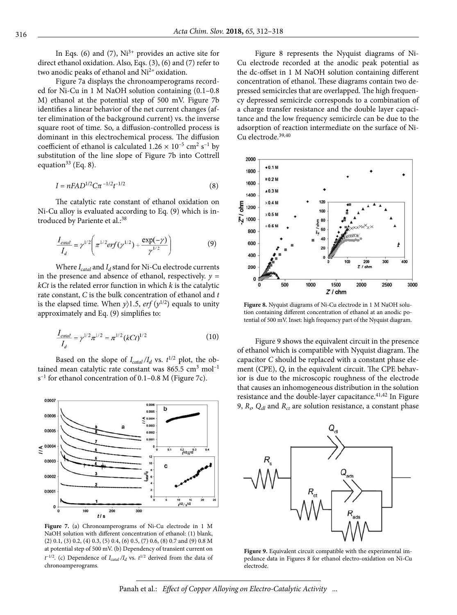In Eqs. (6) and (7),  $Ni<sup>3+</sup>$  provides an active site for direct ethanol oxidation. Also, Eqs. (3), (6) and (7) refer to two anodic peaks of ethanol and Ni<sup>2+</sup> oxidation.

Figure 7a displays the chronoamperograms recorded for Ni-Cu in 1 M NaOH solution containing (0.1–0.8 M) ethanol at the potential step of 500 mV. Figure 7b identifies a linear behavior of the net current changes (after elimination of the background current) vs. the inverse square root of time. So, a diffusion-controlled process is dominant in this electrochemical process. The diffusion coefficient of ethanol is calculated  $1.26 \times 10^{-5}$  cm<sup>2</sup> s<sup>-1</sup> by substitution of the line slope of Figure 7b into Cottrell equation<sup>33</sup> (Eq. 8).

$$
I = nFAD^{1/2}C\pi^{-1/2}t^{-1/2}
$$
 (8)

The catalytic rate constant of ethanol oxidation on Ni-Cu alloy is evaluated according to Eq. (9) which is introduced by Pariente et al.:<sup>38</sup>

$$
\frac{I_{\text{catal}}}{I_d} = \gamma^{1/2} \left( \pi^{1/2} erf(\gamma^{1/2}) + \frac{\exp(-\gamma)}{\gamma^{1/2}} \right) \tag{9}
$$

Where  $I_{\text{catal}}$  and  $I_d$  stand for Ni-Cu electrode currents in the presence and absence of ethanol, respectively.  $y =$ *kCt* is the related error function in which *k* is the catalytic rate constant, *C* is the bulk concentration of ethanol and *t*  is the elapsed time. When  $y$ )1.5, *erf* ( $y^{1/2}$ ) equals to unity approximately and Eq. (9) simplifies to:

$$
\frac{I_{\text{calal}}}{I_d} = \gamma^{1/2} \pi^{1/2} = \pi^{1/2} (kCt)^{1/2} \tag{10}
$$

Based on the slope of  $I_{\text{catal}}/I_d$  vs.  $t^{1/2}$  plot, the obtained mean catalytic rate constant was  $865.5 \text{ cm}^3 \text{ mol}^{-1}$  $s^{-1}$  for ethanol concentration of 0.1–0.8 M (Figure 7c).



**Figure 7.** (a) Chronoamperograms of Ni-Cu electrode in 1 M NaOH solution with different concentration of ethanol: (1) blank, (2) 0.1, (3) 0.2, (4) 0.3, (5) 0.4, (6) 0.5, (7) 0.6, (8) 0.7 and (9) 0.8 M at potential step of 500 mV. (b) Dependency of transient current on  $t^{-1/2}$ . (c) Dependence of  $I_{\text{catal}}/I_d$  vs.  $t^{1/2}$  derived from the data of chronoamperograms.

Figure 8 represents the Nyquist diagrams of Ni-Cu electrode recorded at the anodic peak potential as the dc-offset in 1 M NaOH solution containing different concentration of ethanol. These diagrams contain two depressed semicircles that are overlapped. The high frequency depressed semicircle corresponds to a combination of a charge transfer resistance and the double layer capacitance and the low frequency semicircle can be due to the adsorption of reaction intermediate on the surface of Ni-Cu electrode.<sup>39,40</sup>



**Figure 8.** Nyquist diagrams of Ni-Cu electrode in 1 M NaOH solution containing different concentration of ethanol at an anodic potential of 500 mV. Inset: high frequency part of the Nyquist diagram.

Figure 9 shows the equivalent circuit in the presence of ethanol which is compatible with Nyquist diagram. The capacitor *C* should be replaced with a constant phase element (CPE), *Q*, in the equivalent circuit. The CPE behavior is due to the microscopic roughness of the electrode that causes an inhomogeneous distribution in the solution resistance and the double-layer capacitance.<sup>41,42</sup> In Figure 9,  $R_s$ ,  $Q_{dl}$  and  $R_{ct}$  are solution resistance, a constant phase



Figure 9. Equivalent circuit compatible with the experimental impedance data in Figures 8 for ethanol electro-oxidation on Ni-Cu electrode.

Panah et al.: *Effect of Copper Alloying on Electro-Catalytic Activity* ...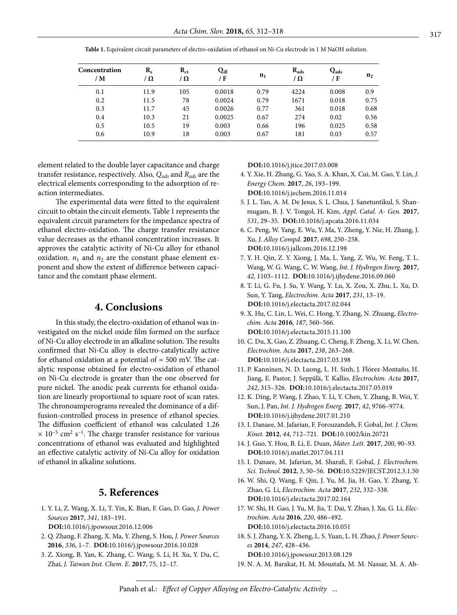| Concentration<br>/ M | $R_{s}$<br>/ $\Omega$ | $R_{ct}$<br>/ $\Omega$ | Qaı<br>/F | $n_1$ | $R_{ads}$<br>/Ω | $Q_{ads}$<br>/ F | n <sub>2</sub> |
|----------------------|-----------------------|------------------------|-----------|-------|-----------------|------------------|----------------|
| 0.1                  | 11.9                  | 105                    | 0.0018    | 0.79  | 4224            | 0.008            | 0.9            |
| 0.2                  | 11.5                  | 78                     | 0.0024    | 0.79  | 1671            | 0.018            | 0.75           |
| 0.3                  | 11.7                  | 45                     | 0.0026    | 0.77  | 361             | 0.018            | 0.68           |
| 0.4                  | 10.3                  | 21                     | 0.0025    | 0.67  | 274             | 0.02             | 0.56           |
| 0.5                  | 10.5                  | 19                     | 0.003     | 0.66  | 196             | 0.025            | 0.58           |
| 0.6                  | 10.9                  | 18                     | 0.003     | 0.67  | 181             | 0.03             | 0.57           |

**Table 1.** Equivalent circuit parameters of electro-oxidation of ethanol on Ni-Cu electrode in 1 M NaOH solution.

element related to the double layer capacitance and charge transfer resistance, respectively. Also, *Qads* and *Rads* are the electrical elements corresponding to the adsorption of reaction intermediates.

The experimental data were fitted to the equivalent circuit to obtain the circuit elements. Table 1 represents the equivalent circuit parameters for the impedance spectra of ethanol electro-oxidation. The charge transfer resistance value decreases as the ethanol concentration increases. It approves the catalytic activity of Ni-Cu alloy for ethanol oxidation.  $n_1$  and  $n_2$  are the constant phase element exponent and show the extent of difference between capacitance and the constant phase element.

## **4. Conclusions**

In this study, the electro-oxidation of ethanol was investigated on the nickel oxide film formed on the surface of Ni-Cu alloy electrode in an alkaline solution. The results confirmed that Ni-Cu alloy is electro-catalytically active for ethanol oxidation at a potential of  $\approx$  500 mV. The catalytic response obtained for electro-oxidation of ethanol on Ni-Cu electrode is greater than the one observed for pure nickel. The anodic peak currents for ethanol oxidation are linearly proportional to square root of scan rates. The chronoamperograms revealed the dominance of a diffusion-controlled process in presence of ethanol species. The diffusion coefficient of ethanol was calculated 1.26  $\times$  10<sup>-5</sup> cm<sup>2</sup> s<sup>-1</sup>. The charge transfer resistance for various concentrations of ethanol was evaluated and highlighted an effective catalytic activity of Ni-Cu alloy for oxidation of ethanol in alkaline solutions.

## **5. References**

 1. Y. Li, Z. Wang, X. Li, T. Yin, K. Bian, F. Gao, D. Gao, *J. Power Sources* **2017**, *341*, 183–191.

**DOI:**[10.1016/j.jpowsour.2016.12.006](https://doi.org/10.1016/j.jpowsour.2016.12.006)

- 2. Q. Zhang, F. Zhang, X. Ma, Y. Zheng, S. Hou, *J. Power Sources*  **2016**, *336*, 1–7. **DOI:**[10.1016/j.jpowsour.2016.10.028](https://doi.org/10.1016/j.jpowsour.2016.10.028)
- 3. Z. Xiong, B. Yan, K. Zhang, C. Wang, S. Li, H. Xu, Y. Du, C. Zhai, *J. Taiwan Inst. Chem. E.* **2017**, 75, 12–17.

**DOI:**[10.1016/j.jtice.2017.03.008](https://doi.org/10.1016/j.jtice.2017.03.008)

- 4. Y. Xie, H. Zhang, G. Yao, S. A. Khan, X. Cui, M. Gao, Y. Lin, *J. Energy Chem.* **2017**, *26*, 193–199. **DOI:**[10.1016/j.jechem.2016.11.014](https://doi.org/10.1016/j.jechem.2016.11.014)
- 5. J. L. Tan, A. M. De Jesus, S. L. Chua, J. Sanetuntikul, S. Shanmugam, B. J. V. Tongol, H. Kim, *Appl. Catal. A- Gen.* **2017**, *531*, 29–35. **DOI:**[10.1016/j.apcata.2016.11.034](https://doi.org/10.1016/j.apcata.2016.11.034)
- 6. C. Peng, W. Yang, E. Wu, Y. Ma, Y. Zheng, Y. Nie, H. Zhang, J. Xu, *J. Alloy Compd.* **2017**, *698*, 250–258. **DOI:**[10.1016/j.jallcom.2016.12.198](https://doi.org/10.1016/j.jallcom.2016.12.198)
- 7. Y. H. Qin, Z. Y. Xiong, J. Ma, L. Yang, Z. Wu, W. Feng, T. L. Wang, W. G. Wang, C. W. Wang, *Int. J. Hydrogen Energ.* **2017**, *42*, 1103–1112. **DOI:**[10.1016/j.ijhydene.2016.09.060](https://doi.org/10.1016/j.ijhydene.2016.09.060)
- 8. T. Li, G. Fu, J. Su, Y. Wang, Y. Lu, X. Zou, X. Zhu, L. Xu, D. Sun, Y. Tang, *Electrochim. Acta* **2017**, *231*, 13–19. **DOI:**[10.1016/j.electacta.2017.02.044](https://doi.org/10.1016/j.electacta.2017.02.044)
- 9. X. Hu, C. Lin, L. Wei, C. Hong, Y. Zhang, N. Zhuang, *Electrochim. Acta* **2016**, *187*, 560–566. **DOI:**[10.1016/j.electacta.2015.11.100](https://doi.org/10.1016/j.electacta.2015.11.100)
- 10. C. Du, X. Gao, Z. Zhuang, C. Cheng, F. Zheng, X. Li, W. Chen, *Electrochim. Acta* **2017**, *238*, 263–268. **DOI:**[10.1016/j.electacta.2017.03.198](https://doi.org/10.1016/j.electacta.2017.03.198)
- 11. P. Kanninen, N. D. Luong, L. H. Sinh, J. Flórez-Montaño, H. Jiang, E. Pastor, J. Seppälä, T. Kallio, *Electrochim. Acta* **2017**, *242*, 315–326. **DOI:**[10.1016/j.electacta.2017.05.019](https://doi.org/10.1016/j.electacta.2017.05.019)
- 12. K. Ding, P. Wang, J. Zhao, Y. Li, Y. Chen, Y. Zhang, B. Wei, Y. Sun, J. Pan, *Int. J. Hydrogen Energ.* **2017**, *42*, 9766–9774. **DOI:**[10.1016/j.ijhydene.2017.01.210](https://doi.org/10.1016/j.ijhydene.2017.01.210)
- 13. I. Danaee, M. Jafarian, F. Forouzandeh, F. Gobal, *Int. J. Chem. Kinet.* **2012**, *44*, 712–721. **DOI:**[10.1002/kin.20721](https://doi.org/10.1002/kin.20721)
- 14. J. Guo, Y. Hou, B. Li, E. Duan, *Mater. Lett.* **2017**, *200*, 90–93. **DOI:**[10.1016/j.matlet.2017.04.111](https://doi.org/10.1016/j.matlet.2017.04.111)
- 15. I. Danaee, M. Jafarian, M. Sharafi, F. Gobal, *J. Electrochem. Sci. Technol.* **2012**, 3, 50–56. **DOI:**[10.5229/JECST.2012.3.1.50](https://doi.org/10.5229/JECST.2012.3.1.50)
- 16. W. Shi, Q. Wang, F. Qin, J. Yu, M. Jia, H. Gao, Y. Zhang, Y. Zhao, G. Li, *Electrochim. Acta* **2017**, *232*, 332–338. **DOI:**[10.1016/j.electacta.2017.02.164](https://doi.org/10.1016/j.electacta.2017.02.164)
- 17. W. Shi, H. Gao, J. Yu, M. Jia, T. Dai, Y. Zhao, J. Xu, G. Li, *Electrochim. Acta* **2016**, *220*, 486–492. **DOI:**[10.1016/j.electacta.2016.10.051](https://doi.org/10.1016/j.electacta.2016.10.051)
- 18. S. J. Zhang, Y. X. Zheng, L. S. Yuan, L. H. Zhao, *J. Power Sources* **2014**, *247*, 428–436.

**DOI:**[10.1016/j.jpowsour.2013.08.129](https://doi.org/10.1016/j.jpowsour.2013.08.129)

<sup>19.</sup> N. A. M. Barakat, H. M. Moustafa, M. M. Nassar, M. A. Ab-